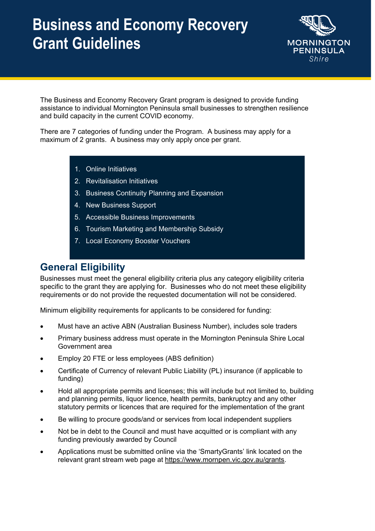

The Business and Economy Recovery Grant program is designed to provide funding assistance to individual Mornington Peninsula small businesses to strengthen resilience and build capacity in the current COVID economy.

There are 7 categories of funding under the Program. A business may apply for a maximum of 2 grants. A business may only apply once per grant.

- 1. Online Initiatives
- 2. Revitalisation Initiatives
- 3. Business Continuity Planning and Expansion
- 4. New Business Support
- 5. Accessible Business Improvements
- 6. Tourism Marketing and Membership Subsidy
- 7. Local Economy Booster Vouchers

### **General Eligibility**

Businesses must meet the general eligibility criteria plus any category eligibility criteria specific to the grant they are applying for. Businesses who do not meet these eligibility requirements or do not provide the requested documentation will not be considered.

Minimum eligibility requirements for applicants to be considered for funding:

- Must have an active ABN (Australian Business Number), includes sole traders
- Primary business address must operate in the Mornington Peninsula Shire Local Government area
- Employ 20 FTE or less employees (ABS definition)
- Certificate of Currency of relevant Public Liability (PL) insurance (if applicable to funding)
- Hold all appropriate permits and licenses; this will include but not limited to, building and planning permits, liquor licence, health permits, bankruptcy and any other statutory permits or licences that are required for the implementation of the grant
- Be willing to procure goods/and or services from local independent suppliers
- Not be in debt to the Council and must have acquitted or is compliant with any funding previously awarded by Council
- Applications must be submitted online via the 'SmartyGrants' link located on the relevant grant stream web page at https://www.mornpen.vic.gov.au/grants.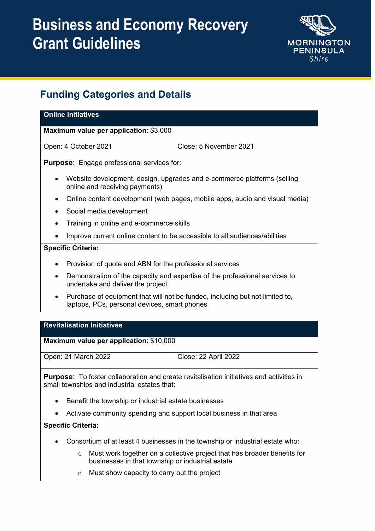

### **Funding Categories and Details**

| <b>Online Initiatives</b>                                                                                                                       |                             |  |  |  |
|-------------------------------------------------------------------------------------------------------------------------------------------------|-----------------------------|--|--|--|
| Maximum value per application: \$3,000                                                                                                          |                             |  |  |  |
| Open: 4 October 2021                                                                                                                            | Close: 5 November 2021      |  |  |  |
| <b>Purpose:</b> Engage professional services for:                                                                                               |                             |  |  |  |
| Website development, design, upgrades and e-commerce platforms (selling<br>٠<br>online and receiving payments)                                  |                             |  |  |  |
| Online content development (web pages, mobile apps, audio and visual media)                                                                     |                             |  |  |  |
| Social media development                                                                                                                        |                             |  |  |  |
| Training in online and e-commerce skills                                                                                                        |                             |  |  |  |
| Improve current online content to be accessible to all audiences/abilities                                                                      |                             |  |  |  |
| <b>Specific Criteria:</b>                                                                                                                       |                             |  |  |  |
| Provision of quote and ABN for the professional services                                                                                        |                             |  |  |  |
| Demonstration of the capacity and expertise of the professional services to<br>$\bullet$<br>undertake and deliver the project                   |                             |  |  |  |
| Purchase of equipment that will not be funded, including but not limited to,<br>$\bullet$<br>laptops, PCs, personal devices, smart phones       |                             |  |  |  |
|                                                                                                                                                 |                             |  |  |  |
| <b>Revitalisation Initiatives</b>                                                                                                               |                             |  |  |  |
| Maximum value per application: \$10,000                                                                                                         |                             |  |  |  |
| Open: 21 March 2022                                                                                                                             | <b>Close: 22 April 2022</b> |  |  |  |
| <b>Purpose:</b> To foster collaboration and create revitalisation initiatives and activities in<br>small townships and industrial estates that: |                             |  |  |  |

- Benefit the township or industrial estate businesses
- Activate community spending and support local business in that area

- Consortium of at least 4 businesses in the township or industrial estate who:
	- o Must work together on a collective project that has broader benefits for businesses in that township or industrial estate
	- o Must show capacity to carry out the project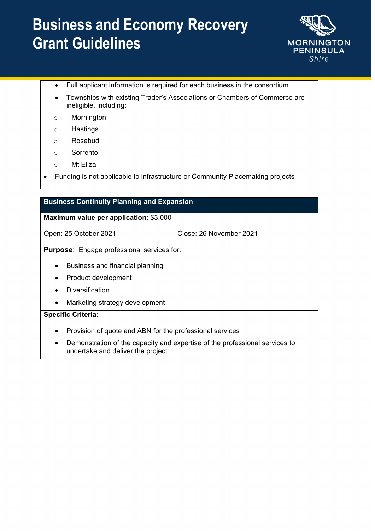

- Full applicant information is required for each business in the consortium
- Townships with existing Trader's Associations or Chambers of Commerce are ineligible, including:
- o Mornington
- o Hastings
- o Rosebud
- o Sorrento
- o Mt Eliza
- Funding is not applicable to infrastructure or Community Placemaking projects

#### **Business Continuity Planning and Expansion**

#### **Maximum value per application**: \$3,000

Open: 25 October 2021 Close: 26 November 2021

**Purpose**: Engage professional services for:

- Business and financial planning
- Product development
- Diversification
- Marketing strategy development

- Provision of quote and ABN for the professional services
- Demonstration of the capacity and expertise of the professional services to undertake and deliver the project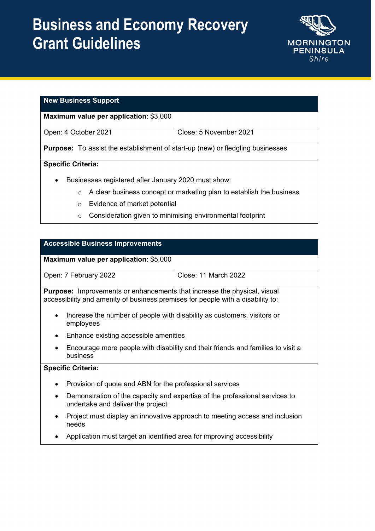

#### **New Business Support**

**Maximum value per application**: \$3,000

Open: 4 October 2021 Close: 5 November 2021

**Purpose:** To assist the establishment of start-up (new) or fledgling businesses

#### **Specific Criteria:**

- Businesses registered after January 2020 must show:
	- o A clear business concept or marketing plan to establish the business
	- o Evidence of market potential
	- o Consideration given to minimising environmental footprint

#### **Accessible Business Improvements**

**Maximum value per application**: \$5,000

| Open: 7 February 2022 | Close: 11 March 2022 |
|-----------------------|----------------------|

**Purpose:** Improvements or enhancements that increase the physical, visual accessibility and amenity of business premises for people with a disability to:

- Increase the number of people with disability as customers, visitors or employees
- Enhance existing accessible amenities
- Encourage more people with disability and their friends and families to visit a business

- Provision of quote and ABN for the professional services
- Demonstration of the capacity and expertise of the professional services to undertake and deliver the project
- Project must display an innovative approach to meeting access and inclusion needs
- Application must target an identified area for improving accessibility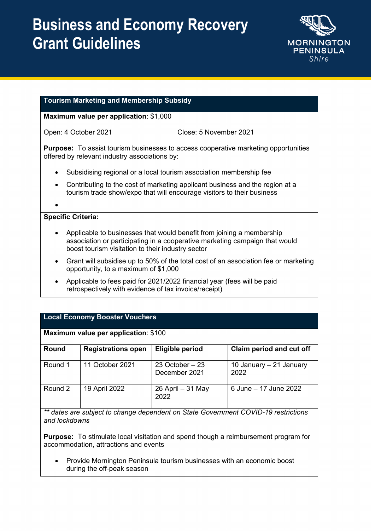

| Tourism Marketing and Membership Subsidy<br>Maximum value per application: \$1,000                                                                                                                             |                                                                                            |  |  |  |
|----------------------------------------------------------------------------------------------------------------------------------------------------------------------------------------------------------------|--------------------------------------------------------------------------------------------|--|--|--|
|                                                                                                                                                                                                                |                                                                                            |  |  |  |
| offered by relevant industry associations by:                                                                                                                                                                  | <b>Purpose:</b> To assist tourism businesses to access cooperative marketing opportunities |  |  |  |
| Subsidising regional or a local tourism association membership fee<br>$\bullet$                                                                                                                                |                                                                                            |  |  |  |
| Contributing to the cost of marketing applicant business and the region at a<br>$\bullet$<br>tourism trade show/expo that will encourage visitors to their business                                            |                                                                                            |  |  |  |
| <b>Specific Criteria:</b>                                                                                                                                                                                      |                                                                                            |  |  |  |
| Applicable to businesses that would benefit from joining a membership<br>٠<br>association or participating in a cooperative marketing campaign that would<br>boost tourism visitation to their industry sector |                                                                                            |  |  |  |
| $\bullet$<br>opportunity, to a maximum of \$1,000                                                                                                                                                              | Grant will subsidise up to 50% of the total cost of an association fee or marketing        |  |  |  |
| Applicable to fees paid for 2021/2022 financial year (fees will be paid<br>$\bullet$<br>retrospectively with evidence of tax invoice/receipt)                                                                  |                                                                                            |  |  |  |

| <b>Local Economy Booster Vouchers</b> |
|---------------------------------------|
|                                       |

| <b>Maximum value per application: \$100</b>                                        |                           |                                   |                                 |  |  |
|------------------------------------------------------------------------------------|---------------------------|-----------------------------------|---------------------------------|--|--|
| Round                                                                              | <b>Registrations open</b> | <b>Eligible period</b>            | Claim period and cut off        |  |  |
| Round 1                                                                            | 11 October 2021           | 23 October $-23$<br>December 2021 | 10 January – 21 January<br>2022 |  |  |
| Round 2                                                                            | 19 April 2022             | 26 April - 31 May<br>2022         | 6 June - 17 June 2022           |  |  |
| ** dates are subject to change dependent on State Government COVID-19 restrictions |                           |                                   |                                 |  |  |

*\*\* dates are subject to change dependent on State Government COVID-19 restrictions and lockdowns*

**Purpose:** To stimulate local visitation and spend though a reimbursement program for accommodation, attractions and events

• Provide Mornington Peninsula tourism businesses with an economic boost during the off-peak season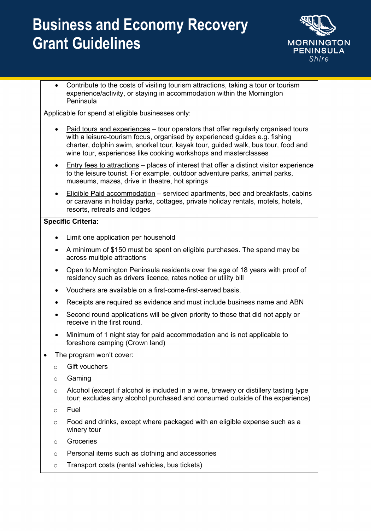

• Contribute to the costs of visiting tourism attractions, taking a tour or tourism experience/activity, or staying in accommodation within the Mornington Peninsula

Applicable for spend at eligible businesses only:

- Paid tours and experiences tour operators that offer regularly organised tours with a leisure-tourism focus, organised by experienced quides e.g. fishing charter, dolphin swim, snorkel tour, kayak tour, guided walk, bus tour, food and wine tour, experiences like cooking workshops and masterclasses
- Entry fees to attractions places of interest that offer a distinct visitor experience to the leisure tourist. For example, outdoor adventure parks, animal parks, museums, mazes, drive in theatre, hot springs
- Eligible Paid accommodation serviced apartments, bed and breakfasts, cabins or caravans in holiday parks, cottages, private holiday rentals, motels, hotels, resorts, retreats and lodges

- Limit one application per household
- A minimum of \$150 must be spent on eligible purchases. The spend may be across multiple attractions
- Open to Mornington Peninsula residents over the age of 18 years with proof of residency such as drivers licence, rates notice or utility bill
- Vouchers are available on a first-come-first-served basis.
- Receipts are required as evidence and must include business name and ABN
- Second round applications will be given priority to those that did not apply or receive in the first round.
- Minimum of 1 night stay for paid accommodation and is not applicable to foreshore camping (Crown land)
- The program won't cover:
	- o Gift vouchers
	- o Gaming
	- $\circ$  Alcohol (except if alcohol is included in a wine, brewery or distillery tasting type tour; excludes any alcohol purchased and consumed outside of the experience)
	- o Fuel
	- $\circ$  Food and drinks, except where packaged with an eligible expense such as a winery tour
	- o Groceries
	- o Personal items such as clothing and accessories
	- o Transport costs (rental vehicles, bus tickets)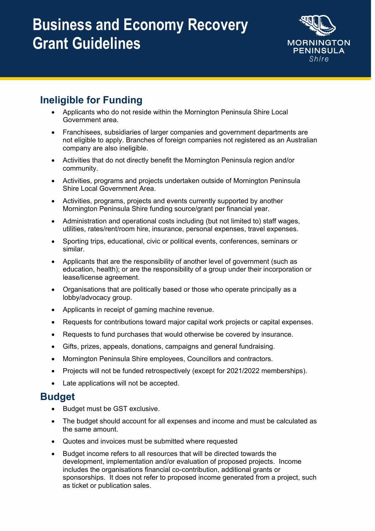

### **Ineligible for Funding**

- Applicants who do not reside within the Mornington Peninsula Shire Local Government area.
- Franchisees, subsidiaries of larger companies and government departments are not eligible to apply. Branches of foreign companies not registered as an Australian company are also ineligible.
- Activities that do not directly benefit the Mornington Peninsula region and/or community.
- Activities, programs and projects undertaken outside of Mornington Peninsula Shire Local Government Area.
- Activities, programs, projects and events currently supported by another Mornington Peninsula Shire funding source/grant per financial year.
- Administration and operational costs including (but not limited to) staff wages, utilities, rates/rent/room hire, insurance, personal expenses, travel expenses.
- Sporting trips, educational, civic or political events, conferences, seminars or similar.
- Applicants that are the responsibility of another level of government (such as education, health); or are the responsibility of a group under their incorporation or lease/license agreement.
- Organisations that are politically based or those who operate principally as a lobby/advocacy group.
- Applicants in receipt of gaming machine revenue.
- Requests for contributions toward major capital work projects or capital expenses.
- Requests to fund purchases that would otherwise be covered by insurance.
- Gifts, prizes, appeals, donations, campaigns and general fundraising.
- Mornington Peninsula Shire employees, Councillors and contractors.
- Projects will not be funded retrospectively (except for 2021/2022 memberships).
- Late applications will not be accepted.

### **Budget**

- Budget must be GST exclusive.
- The budget should account for all expenses and income and must be calculated as the same amount.
- Quotes and invoices must be submitted where requested
- Budget income refers to all resources that will be directed towards the development, implementation and/or evaluation of proposed projects. Income includes the organisations financial co-contribution, additional grants or sponsorships. It does not refer to proposed income generated from a project, such as ticket or publication sales.